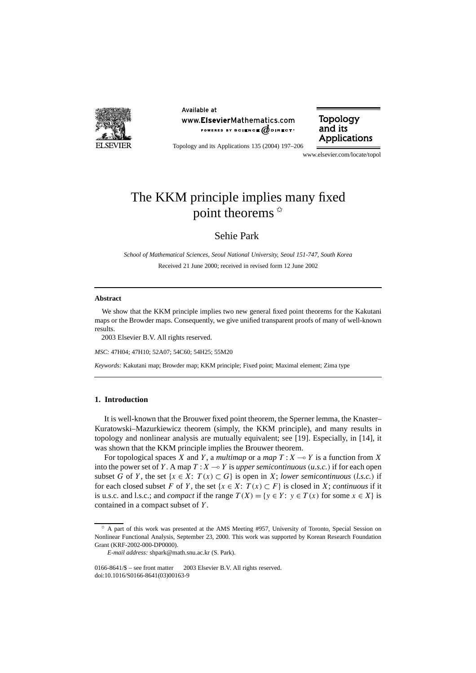

Available at www.ElsevierMathematics.com POWERED BY SCIENCE  $\phi$  direct<sup>®</sup>



Topology and its Applications 135 (2004) 197–206

www.elsevier.com/locate/topol

# The KKM principle implies many fixed point theorems  $*$

Sehie Park

*School of Mathematical Sciences, Seoul National University, Seoul 151-747, South Korea* Received 21 June 2000; received in revised form 12 June 2002

#### **Abstract**

We show that the KKM principle implies two new general fixed point theorems for the Kakutani maps or the Browder maps. Consequently, we give unified transparent proofs of many of well-known results.

2003 Elsevier B.V. All rights reserved.

*MSC:* 47H04; 47H10; 52A07; 54C60; 54H25; 55M20

*Keywords:* Kakutani map; Browder map; KKM principle; Fixed point; Maximal element; Zima type

### **1. Introduction**

It is well-known that the Brouwer fixed point theorem, the Sperner lemma, the Knaster– Kuratowski–Mazurkiewicz theorem (simply, the KKM principle), and many results in topology and nonlinear analysis are mutually equivalent; see [19]. Especially, in [14], it was shown that the KKM principle implies the Brouwer theorem.

For topological spaces *X* and *Y*, a *multimap* or a *map*  $T: X \rightarrow Y$  is a function from *X* into the power set of *Y*. A map  $T: X \rightarrow Y$  is *upper semicontinuous* (*u.s.c.*) if for each open subset *G* of *Y*, the set  $\{x \in X: T(x) \subset G\}$  is open in *X*; *lower semicontinuous* (*l.s.c.*) if for each closed subset *F* of *Y*, the set  $\{x \in X: T(x) \subset F\}$  is closed in *X*; *continuous* if it is u.s.c. and l.s.c.; and *compact* if the range  $T(X) = \{y \in Y : y \in T(x) \text{ for some } x \in X\}$  is contained in a compact subset of *Y* .

<sup>✩</sup> A part of this work was presented at the AMS Meeting #957, University of Toronto, Special Session on Nonlinear Functional Analysis, September 23, 2000. This work was supported by Korean Research Foundation Grant (KRF-2002-000-DP0000).

*E-mail address:* shpark@math.snu.ac.kr (S. Park).

<sup>0166-8641/\$ –</sup> see front matter  $\degree$  2003 Elsevier B.V. All rights reserved. doi:10.1016/S0166-8641(03)00163-9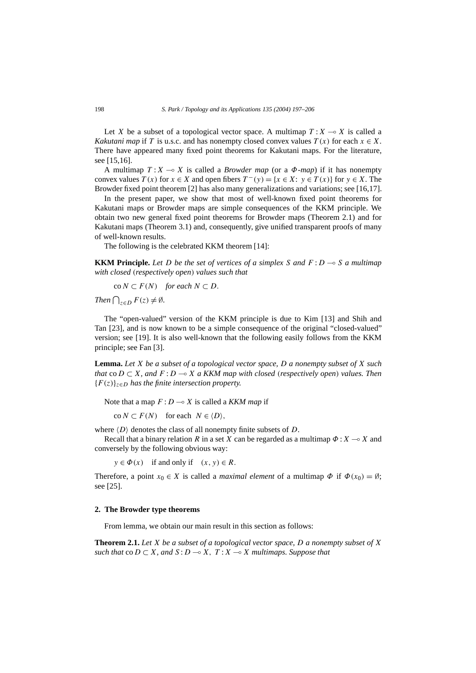Let *X* be a subset of a topological vector space. A multimap  $T: X \rightarrow X$  is called a *Kakutani map* if *T* is u.s.c. and has nonempty closed convex values  $T(x)$  for each  $x \in X$ . There have appeared many fixed point theorems for Kakutani maps. For the literature, see [15,16].

A multimap  $T: X \to X$  is called a *Browder map* (or a  $\Phi$ -*map*) if it has nonempty convex values  $T(x)$  for  $x \in X$  and open fibers  $T^-(y) = \{x \in X : y \in T(x)\}$  for  $y \in X$ . The Browder fixed point theorem [2] has also many generalizations and variations; see [16,17].

In the present paper, we show that most of well-known fixed point theorems for Kakutani maps or Browder maps are simple consequences of the KKM principle. We obtain two new general fixed point theorems for Browder maps (Theorem 2.1) and for Kakutani maps (Theorem 3.1) and, consequently, give unified transparent proofs of many of well-known results.

The following is the celebrated KKM theorem [14]:

**KKM Principle.** Let D be the set of vertices of a simplex S and  $F: D \to S$  a multimap *with closed (respectively open) values such that*

 $\text{co } N \subset F(N)$  *for each*  $N \subset D$ .

*Then*  $\bigcap_{z \in D} F(z) \neq \emptyset$ *.* 

The "open-valued" version of the KKM principle is due to Kim [13] and Shih and Tan [23], and is now known to be a simple consequence of the original "closed-valued" version; see [19]. It is also well-known that the following easily follows from the KKM principle; see Fan [3].

**Lemma.** *Let X be a subset of a topological vector space, D a nonempty subset of X such that* co $D \subset X$ *, and*  $F: D \to X$  *a KKM map with closed (respectively open) values. Then* {*F (z)*}*z*∈*<sup>D</sup> has the finite intersection property.*

Note that a map  $F: D \rightarrow X$  is called a *KKM map* if

 $\text{co } N \subset F(N)$  for each  $N \in \langle D \rangle$ ,

where  $\langle D \rangle$  denotes the class of all nonempty finite subsets of  $D$ .

Recall that a binary relation *R* in a set *X* can be regarded as a multimap  $\Phi$  :  $X \rightarrow X$  and conversely by the following obvious way:

 $y \in \Phi(x)$  if and only if  $(x, y) \in R$ .

Therefore, a point  $x_0 \in X$  is called a *maximal element* of a multimap  $\Phi$  if  $\Phi(x_0) = \emptyset$ ; see [25].

#### **2. The Browder type theorems**

From lemma, we obtain our main result in this section as follows:

**Theorem 2.1.** *Let X be a subset of a topological vector space, D a nonempty subset of X such that* co  $D \subset X$ *, and*  $S: D \to X$ *,*  $T: X \to X$  *multimaps. Suppose that*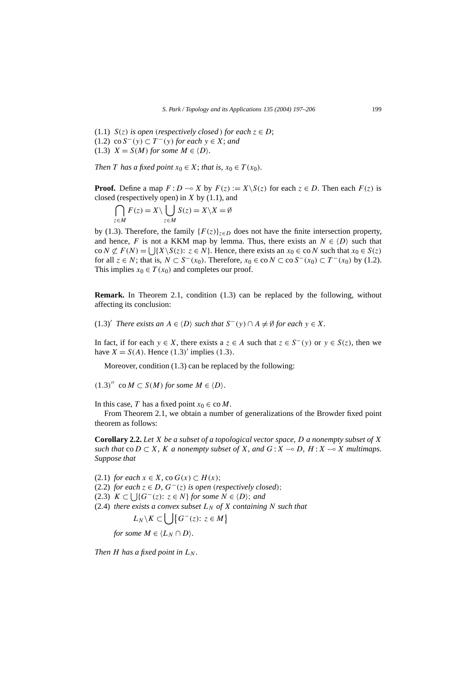(1.1) *S*(*z*) *is open* (*respectively closed*) *for each*  $z \in D$ ;  $(1.2)$  co *S*<sup>−</sup>(*y*) ⊂ *T*<sup>−</sup>(*y*) *for each y* ∈ *X*; *and*  $(1.3)$   $X = S(M)$  *for some*  $M \in \langle D \rangle$ *.* 

*Then T has a fixed point*  $x_0 \in X$ ; *that is,*  $x_0 \in T(x_0)$ *.* 

**Proof.** Define a map  $F: D \to X$  by  $F(z) := X \setminus S(z)$  for each  $z \in D$ . Then each  $F(z)$  is closed (respectively open) in *X* by (1.1), and

$$
\bigcap_{z \in M} F(z) = X \setminus \bigcup_{z \in M} S(z) = X \setminus X = \emptyset
$$

by (1.3). Therefore, the family  ${F(z)}_{z \in D}$  does not have the finite intersection property, and hence, *F* is not a KKM map by lemma. Thus, there exists an  $N \in \langle D \rangle$  such that co  $N \not\subset F(N) = \bigcup \{X \setminus S(z): z \in N\}$ . Hence, there exists an  $x_0 \in \text{co } N$  such that  $x_0 \in S(z)$ for all  $z \in N$ ; that is,  $N \subset S^{-}(x_0)$ . Therefore,  $x_0 \in \text{co } N \subset \text{co } S^{-}(x_0) \subset T^{-}(x_0)$  by (1.2). This implies  $x_0 \in T(x_0)$  and completes our proof.

**Remark.** In Theorem 2.1, condition (1.3) can be replaced by the following, without affecting its conclusion:

 $(1.3)'$  *There exists an*  $A \in \langle D \rangle$  *such that*  $S^-(y) \cap A \neq \emptyset$  *for each*  $y \in X$ *.* 

In fact, if for each  $y \in X$ , there exists  $a \in A$  such that  $z \in S^-(y)$  or  $y \in S(z)$ , then we have  $X = S(A)$ . Hence  $(1.3)'$  implies  $(1.3)$ .

Moreover, condition (1.3) can be replaced by the following:

 $(1.3)''$  co  $M \subset S(M)$  *for some*  $M \in \langle D \rangle$ .

In this case, *T* has a fixed point  $x_0 \in \text{co } M$ .

From Theorem 2.1, we obtain a number of generalizations of the Browder fixed point theorem as follows:

**Corollary 2.2.** *Let X be a subset of a topological vector space, D a nonempty subset of X such that*  $\text{co } D \subset X$ *, K a nonempty subset of X, and*  $G: X \to D$ *, H* :  $X \to X$  *multimaps. Suppose that*

(2.1) *for each*  $x \in X$ , co  $G(x) \subset H(x)$ ;

(2.2) *for each*  $z \in D$ *,*  $G^{-}(z)$  *is open (respectively closed)*;

- $(X, 2, 3)$   $K \subset \bigcup \{G^-(z): z \in N\}$  *for some*  $N \in \langle D \rangle$ ; *and*
- (2.4) *there exists a convex subset*  $L_N$  *of*  $X$  *containing*  $N$  *such that*

*L<sub>N</sub>*  $\setminus$ *K* ⊂  $\bigcup$   $\big\{G^-(z): z \in M\big\}$ 

*for some*  $M \in \langle L_N \cap D \rangle$ *.* 

*Then H* has a fixed point in  $L_N$ .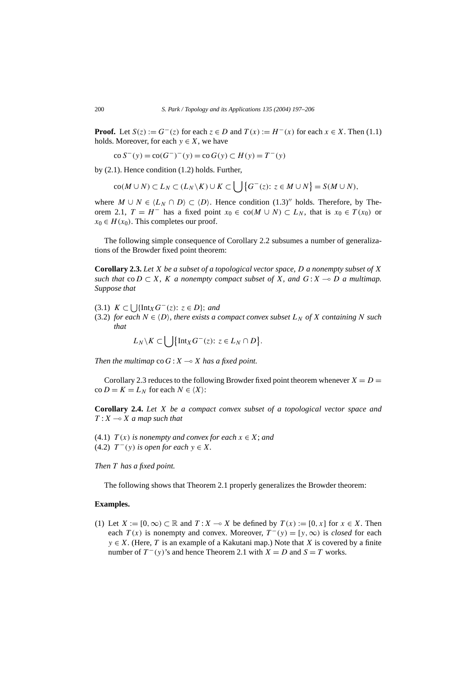**Proof.** Let  $S(z) := G^{-}(z)$  for each  $z \in D$  and  $T(x) := H^{-}(x)$  for each  $x \in X$ . Then (1.1) holds. Moreover, for each  $y \in X$ , we have

$$
co S^{-}(y) = co(G^{-})^{-}(y) = co G(y) \subset H(y) = T^{-}(y)
$$

by (2.1). Hence condition (1.2) holds. Further,

$$
co(M \cup N) \subset L_N \subset (L_N \setminus K) \cup K \subset \bigcup \{G^-(z) : z \in M \cup N\} = S(M \cup N),
$$

where  $M \cup N \in \langle L_N \cap D \rangle \subset \langle D \rangle$ . Hence condition (1.3)<sup>'</sup> holds. Therefore, by Theorem 2.1,  $T = H^-$  has a fixed point  $x_0 \in \text{co}(M \cup N) \subset L_N$ , that is  $x_0 \in T(x_0)$  or  $x_0 \in H(x_0)$ . This completes our proof.

The following simple consequence of Corollary 2.2 subsumes a number of generalizations of the Browder fixed point theorem:

**Corollary 2.3.** *Let X be a subset of a topological vector space, D a nonempty subset of X such that*  $\text{co } D \subset X$ *, K a nonempty compact subset of X, and*  $G: X \to D$  *a multimap. Suppose that*

- (3.1) *K* ⊂  $\bigcup$  {Int<sub>*X*</sub> *G*<sup>−</sup>(*z*): *z* ∈ *D*}; *and*
- $(3.2)$  *for each*  $N \in \langle D \rangle$ *, there exists a compact convex subset*  $L_N$  *of*  $X$  *containing*  $N$  *such that*

$$
L_N \setminus K \subset \bigcup \{ \text{Int}_X G^-(z) : z \in L_N \cap D \}.
$$

*Then the multimap*  $\cos G : X \rightarrow X$  *has a fixed point.* 

Corollary 2.3 reduces to the following Browder fixed point theorem whenever  $X = D =$  $\text{co } D = K = L_N \text{ for each } N \in \langle X \rangle$ :

**Corollary 2.4.** *Let X be a compact convex subset of a topological vector space and*  $T: X \longrightarrow X$  *a map such that* 

(4.1) *T*(*x*) *is nonempty and convex for each*  $x \in X$ ; *and* (4.2)  $T^-(y)$  *is open for each*  $y \in X$ *.* 

*Then T has a fixed point.*

The following shows that Theorem 2.1 properly generalizes the Browder theorem:

# **Examples.**

(1) Let *X* := [0, ∞) ⊂ ℝ and  $T: X \to X$  be defined by  $T(x) := [0, x]$  for  $x \in X$ . Then each  $T(x)$  is nonempty and convex. Moreover,  $T^-(y) = [y, \infty)$  is *closed* for each  $y \in X$ . (Here, *T* is an example of a Kakutani map.) Note that *X* is covered by a finite number of  $T^-(y)$ 's and hence Theorem 2.1 with  $X = D$  and  $S = T$  works.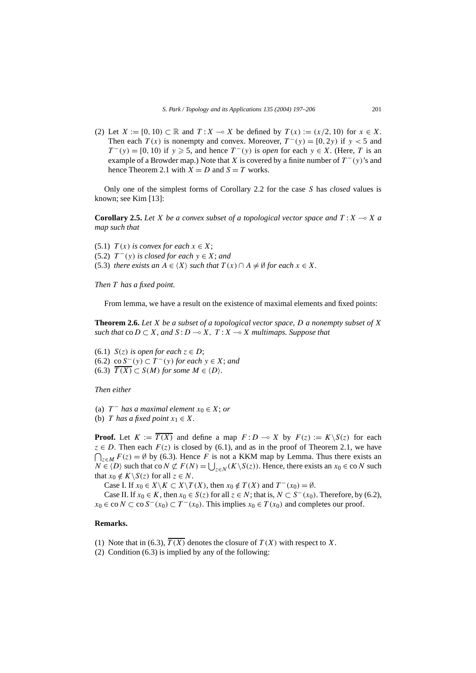(2) Let  $X := [0, 10) \subset \mathbb{R}$  and  $T : X \to X$  be defined by  $T(x) := (x/2, 10)$  for  $x \in X$ . Then each  $T(x)$  is nonempty and convex. Moreover,  $T^-(y) = [0, 2y)$  if  $y < 5$  and  $T^-(y) = [0, 10)$  if  $y \ge 5$ , and hence  $T^-(y)$  is *open* for each  $y \in X$ . (Here, *T* is an example of a Browder map.) Note that *X* is covered by a finite number of  $T^-(y)$ 's and hence Theorem 2.1 with  $X = D$  and  $S = T$  works.

Only one of the simplest forms of Corollary 2.2 for the case *S* has *closed* values is known; see Kim [13]:

**Corollary 2.5.** Let *X* be a convex subset of a topological vector space and  $T: X \to X$  a *map such that*

(5.1)  $T(x)$  *is convex for each*  $x \in X$ ;  $(5.2)$   $T^-(y)$  *is closed for each*  $y \in X$ ; *and* (5.3) *there exists an*  $A \in \langle X \rangle$  *such that*  $T(x) \cap A \neq \emptyset$  *for each*  $x \in X$ *.* 

*Then T has a fixed point.*

From lemma, we have a result on the existence of maximal elements and fixed points:

**Theorem 2.6.** *Let X be a subset of a topological vector space, D a nonempty subset of X such that* co  $D \subset X$ *, and*  $S: D \to X$ *,*  $T: X \to X$  *multimaps. Suppose that* 

(6.1) *S*(*z*) *is open for each*  $z \in D$ ; (6.2) co *S*−*(y)* ⊂ *T* <sup>−</sup>*(y) for each y* ∈ *X*; *and*  $(6.3)$   $\overline{T(X)} \subset S(M)$  *for some*  $M \in \langle D \rangle$ *.* 

*Then either*

(a)  $T^-$  *has a maximal element*  $x_0 \in X$ ; *or* 

(b) *T* has a fixed point  $x_1 \in X$ .

**Proof.** Let  $K := \overline{T(X)}$  and define a map  $F: D \to X$  by  $F(z) := K \setminus S(z)$  for each *z* ∈ *D*. Then each  $F(z)$  is closed by (6.1), and as in the proof of Theorem 2.1, we have  $\bigcap_{z \in M} F(z) = ∅$  by (6.3). Hence *F* is not a KKM map by Lemma. Thus there exists an *N* ∈  $\langle D \rangle$  such that co *N*  $\subset \mathcal{F}(N)$  =  $\bigcup_{z \in N} (K \setminus S(z))$ . Hence, there exists an *x*<sub>0</sub> ∈ co *N* such that  $x_0 \notin K \backslash S(z)$  for all  $z \in N$ .

Case I. If  $x_0 \in X \backslash K \subset X \backslash T(X)$ , then  $x_0 \notin T(X)$  and  $T^{-}(x_0) = \emptyset$ .

Case II. If  $x_0$  ∈ *K*, then  $x_0$  ∈ *S*(*z*) for all  $z$  ∈ *N*; that is,  $N \subset S^{-}(x_0)$ . Therefore, by (6.2),  $x_0 \in \text{co } N \subset \text{co } S^{-}(x_0) \subset T^{-}(x_0)$ . This implies  $x_0 \in T(x_0)$  and completes our proof.

# **Remarks.**

- (1) Note that in (6.3),  $\overline{T(X)}$  denotes the closure of  $T(X)$  with respect to *X*.
- (2) Condition (6.3) is implied by any of the following: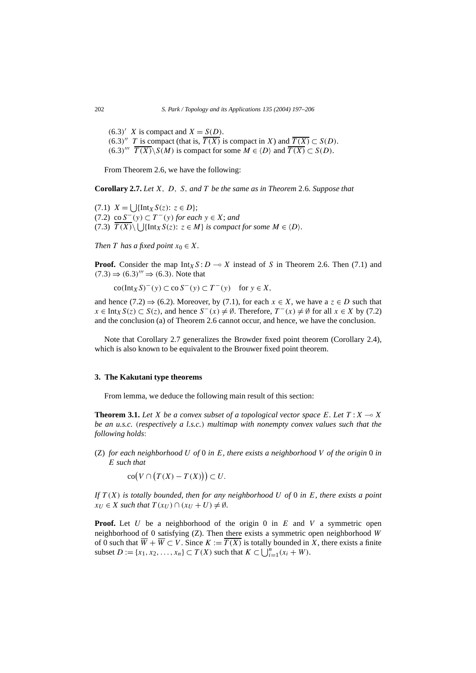$(6.3)'$  *X* is compact and *X* = *S(D)*. *(*6*.*3*)*<sup> $T$  is compact (that is,  $\overline{T(X)}$  is compact in *X*) and  $\overline{T(X)}$  ⊂ *S(D)*.</sup>  $(6.3)$ <sup>*'''*</sup>  $\overline{T(X)} \setminus S(M)$  is compact for some  $M \in \langle D \rangle$  and  $\overline{T(X)} \subset S(D)$ .

From Theorem 2.6, we have the following:

**Corollary 2.7.** *Let X, D, S, and T be the same as in Theorem* 2*.*6*. Suppose that*

(7.1)  $X = \left[ \int \left\{ \text{Int}_X S(z) : z \in D \right\} \right]$ ;  $(7.2)$  co  $S<sup>−</sup>(y)$  ⊂  $T<sup>−</sup>(y)$  *for each*  $y \in X$ ; *and*  $(7.3)$   $\overline{T(X)}\setminus \bigcup \{\text{Int}_X S(z): z \in M\}$  *is compact for some*  $M \in \langle D \rangle$ *.* 

*Then T has a fixed point*  $x_0 \in X$ *.* 

**Proof.** Consider the map  $Int_X S: D \to X$  instead of *S* in Theorem 2.6. Then (7.1) and  $(7.3) \Rightarrow (6.3)$ <sup>"'</sup>  $\Rightarrow (6.3)$ . Note that

 $\operatorname{co}(\operatorname{Int}_X \mathcal{S})^-(v) \subset \operatorname{co} \mathcal{S}^-(v) \subset T^-(v)$  for  $v \in X$ ,

and hence (7.2)  $\Rightarrow$  (6.2). Moreover, by (7.1), for each  $x \in X$ , we have a  $z \in D$  such that *x* ∈ Int<sub>*X*</sub></sub> $S(z)$  ⊂  $S(z)$ , and hence  $S^{-}(x) \neq \emptyset$ . Therefore,  $T^{-}(x) \neq \emptyset$  for all  $x \in X$  by (7.2) and the conclusion (a) of Theorem 2.6 cannot occur, and hence, we have the conclusion.

Note that Corollary 2.7 generalizes the Browder fixed point theorem (Corollary 2.4), which is also known to be equivalent to the Brouwer fixed point theorem.

#### **3. The Kakutani type theorems**

From lemma, we deduce the following main result of this section:

**Theorem 3.1.** Let X be a convex subset of a topological vector space E. Let  $T: X \rightarrow X$ *be an u.s.c. (respectively a l.s.c.) multimap with nonempty convex values such that the following holds*:

(Z) *for each neighborhood U of* 0 *in E, there exists a neighborhood V of the origin* 0 *in E such that*

 $\text{co}(V \cap (T(X) - T(X))) \subset U.$ 

*If T (X) is totally bounded, then for any neighborhood U of* 0 *in E, there exists a point*  $x_U \in X$  *such that*  $T(x_U) \cap (x_U + U) \neq \emptyset$ *.* 

**Proof.** Let *U* be a neighborhood of the origin 0 in *E* and *V* a symmetric open neighborhood of 0 satisfying (Z). Then there exists a symmetric open neighborhood *W* of 0 such that  $\overline{W} + \overline{W} \subset V$ . Since  $K := \overline{T(X)}$  is totally bounded in X, there exists a finite subset  $D := \{x_1, x_2, ..., x_n\} \subset T(X)$  such that  $K \subset \bigcup_{i=1}^n (x_i + W)$ .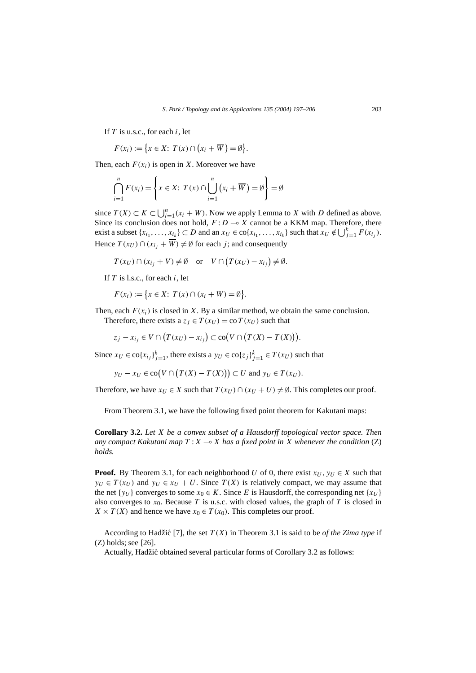If *T* is u.s.c., for each *i*, let

$$
F(x_i) := \{ x \in X : T(x) \cap (x_i + \overline{W}) = \emptyset \}.
$$

Then, each  $F(x_i)$  is open in *X*. Moreover we have

$$
\bigcap_{i=1}^{n} F(x_i) = \left\{ x \in X : T(x) \cap \bigcup_{i=1}^{n} (x_i + \overline{W}) = \emptyset \right\} = \emptyset
$$

since *T*(*X*) ⊂ *K* ⊂  $\bigcup_{i=1}^{n} (x_i + W)$ . Now we apply Lemma to *X* with *D* defined as above. Since its conclusion does not hold,  $F: D \to X$  cannot be a KKM map. Therefore, there exist a subset  $\{x_{i_1}, \ldots, x_{i_k}\} \subset D$  and an  $x_U \in \text{co}\{x_{i_1}, \ldots, x_{i_k}\}$  such that  $x_U \notin \bigcup_{j=1}^k F(x_{i_j})$ . Hence  $T(x_U) \cap (x_{i_j} + \overline{W}) \neq \emptyset$  for each *j*; and consequently

$$
T(x_U) \cap (x_{i_j} + V) \neq \emptyset
$$
 or  $V \cap (T(x_U) - x_{i_j}) \neq \emptyset$ .

If *T* is l.s.c., for each *i*, let

$$
F(x_i) := \{ x \in X : T(x) \cap (x_i + W) = \emptyset \}.
$$

Then, each  $F(x_i)$  is closed in *X*. By a similar method, we obtain the same conclusion. Therefore, there exists a  $z_j \in T(x_U) = \text{co } T(x_U)$  such that

$$
z_j - x_{i_j} \in V \cap (T(x_U) - x_{i_j}) \subset \text{co}(V \cap (T(X) - T(X))).
$$

Since  $x_U \in \text{co}\{x_i\}_{i=1}^k$ , there exists a  $y_U \in \text{co}\{z_j\}_{j=1}^k \in T(x_U)$  such that

$$
y_U - x_U \in \text{co}(V \cap (T(X) - T(X))) \subset U \text{ and } y_U \in T(x_U).
$$

Therefore, we have  $x_U \in X$  such that  $T(x_U) \cap (x_U + U) \neq \emptyset$ . This completes our proof.

From Theorem 3.1, we have the following fixed point theorem for Kakutani maps:

**Corollary 3.2.** *Let X be a convex subset of a Hausdorff topological vector space. Then any compact Kakutani map*  $T : X \to X$  *has a fixed point in X whenever the condition* (*Z*) *holds.*

**Proof.** By Theorem 3.1, for each neighborhood *U* of 0, there exist  $x_U$ ,  $y_U \in X$  such that  $y_U \in T(x_U)$  and  $y_U \in x_U + U$ . Since  $T(X)$  is relatively compact, we may assume that the net {*y<sub>U</sub>*} converges to some  $x_0 \in K$ . Since *E* is Hausdorff, the corresponding net {*x<sub>U</sub>*} also converges to  $x_0$ . Because T is u.s.c. with closed values, the graph of T is closed in  $X \times T(X)$  and hence we have  $x_0 \in T(x_0)$ . This completes our proof.

According to Hadžić [7], the set  $T(X)$  in Theorem 3.1 is said to be *of the Zima type* if (Z) holds; see [26].

Actually, Hadžic obtained several particular forms of Corollary 3.2 as follows: ´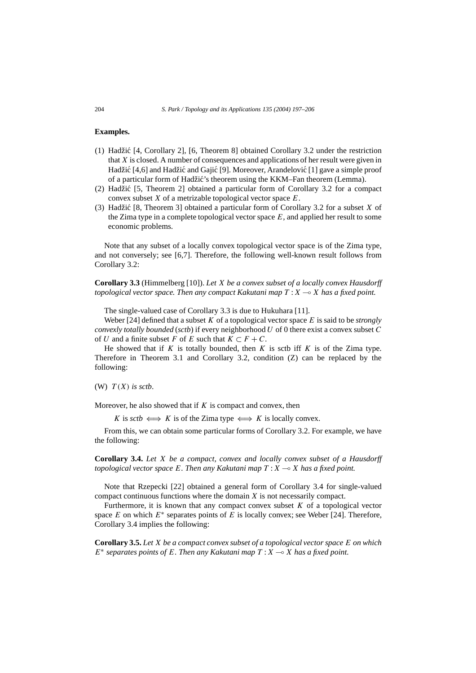# **Examples.**

- (1) Hadžic [4, Corollary 2], [6, Theorem 8] obtained Corollary 3.2 under the restriction ´ that *X* is closed. A number of consequences and applications of her result were given in Hadžić [4,6] and Hadžić and Gajić [9]. Moreover, Arandelović [1] gave a simple proof of a particular form of Hadžic's theorem using the KKM–Fan theorem (Lemma). ´
- (2) Hadžic [5, Theorem 2] obtained a particular form of Corollary 3.2 for a compact ´ convex subset *X* of a metrizable topological vector space *E*.
- (3) Hadžić  $[8,$  Theorem 3] obtained a particular form of Corollary 3.2 for a subset  $X$  of the Zima type in a complete topological vector space *E*, and applied her result to some economic problems.

Note that any subset of a locally convex topological vector space is of the Zima type, and not conversely; see [6,7]. Therefore, the following well-known result follows from Corollary 3.2:

**Corollary 3.3** (Himmelberg [10]). *Let X be a convex subset of a locally convex Hausdorff topological vector space. Then any compact Kakutani map*  $T : X \rightarrow X$  has a fixed point.

The single-valued case of Corollary 3.3 is due to Hukuhara [11].

Weber [24] defined that a subset *K* of a topological vector space *E* is said to be *strongly convexly totally bounded* (*sctb*) if every neighborhood *U* of 0 there exist a convex subset *C* of *U* and a finite subset *F* of *E* such that  $K \subset F + C$ .

He showed that if  $K$  is totally bounded, then  $K$  is sctb iff  $K$  is of the Zima type. Therefore in Theorem 3.1 and Corollary 3.2, condition (Z) can be replaced by the following:

(W)  $T(X)$  *is sctb.* 

Moreover, he also showed that if *K* is compact and convex, then

*K* is *sctb*  $\iff$  *K* is of the Zima type  $\iff$  *K* is locally convex.

From this, we can obtain some particular forms of Corollary 3.2. For example, we have the following:

**Corollary 3.4.** *Let X be a compact, convex and locally convex subset of a Hausdorff topological vector space E. Then any Kakutani map T* :*X X has a fixed point.*

Note that Rzepecki [22] obtained a general form of Corollary 3.4 for single-valued compact continuous functions where the domain *X* is not necessarily compact.

Furthermore, it is known that any compact convex subset  $K$  of a topological vector space *E* on which  $E^*$  separates points of *E* is locally convex; see Weber [24]. Therefore, Corollary 3.4 implies the following:

**Corollary 3.5.** *Let X be a compact convex subset of a topological vector space E on which*  $E^*$  *separates points of E. Then any Kakutani map*  $T: X \rightarrow X$  *has a fixed point.*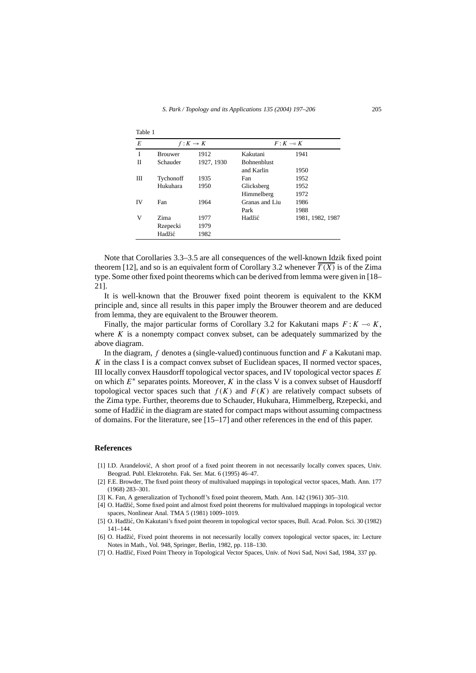| Table 1 |                |            |                    |                  |
|---------|----------------|------------|--------------------|------------------|
| E       | $f: K \to K$   |            | $F: K \multimap K$ |                  |
| I       | <b>Brouwer</b> | 1912       | Kakutani           | 1941             |
| П       | Schauder       | 1927, 1930 | <b>Bohnenblust</b> |                  |
|         |                |            | and Karlin         | 1950             |
| Ш       | Tychonoff      | 1935       | Fan                | 1952             |
|         | Hukuhara       | 1950       | Glicksberg         | 1952             |
|         |                |            | Himmelberg         | 1972             |
| IV      | Fan            | 1964       | Granas and Liu     | 1986             |
|         |                |            | Park               | 1988             |
| v       | Zima           | 1977       | Hadžić             | 1981, 1982, 1987 |
|         | Rzepecki       | 1979       |                    |                  |
|         | Hadžić         | 1982       |                    |                  |

Note that Corollaries 3.3–3.5 are all consequences of the well-known Idzik fixed point theorem [12], and so is an equivalent form of Corollary 3.2 whenever  $\overline{T(X)}$  is of the Zima type. Some other fixed point theorems which can be derived from lemma were given in [18– 21].

It is well-known that the Brouwer fixed point theorem is equivalent to the KKM principle and, since all results in this paper imply the Brouwer theorem and are deduced from lemma, they are equivalent to the Brouwer theorem.

Finally, the major particular forms of Corollary 3.2 for Kakutani maps  $F: K \to K$ , where  $K$  is a nonempty compact convex subset, can be adequately summarized by the above diagram.

In the diagram, *f* denotes a (single-valued) continuous function and *F* a Kakutani map. *K* in the class I is a compact convex subset of Euclidean spaces, II normed vector spaces, III locally convex Hausdorff topological vector spaces, and IV topological vector spaces *E* on which  $E^*$  separates points. Moreover,  $K$  in the class V is a convex subset of Hausdorff topological vector spaces such that  $f(K)$  and  $F(K)$  are relatively compact subsets of the Zima type. Further, theorems due to Schauder, Hukuhara, Himmelberg, Rzepecki, and some of Hadžic in the diagram are stated for compact maps without assuming compactness ´ of domains. For the literature, see [15–17] and other references in the end of this paper.

#### **References**

- [1] I.D. Arandelovic, A short proof of a fixed point theorem in not necessarily locally convex spaces, Univ. ´ Beograd. Publ. Elektrotehn. Fak. Ser. Mat. 6 (1995) 46–47.
- [2] F.E. Browder, The fixed point theory of multivalued mappings in topological vector spaces, Math. Ann. 177 (1968) 283–301.
- [3] K. Fan, A generalization of Tychonoff's fixed point theorem, Math. Ann. 142 (1961) 305–310.
- [4] O. Hadžic, Some fixed point and almost fixed point theorems for multivalued mappings in topological vector ´ spaces, Nonlinear Anal. TMA 5 (1981) 1009–1019.
- [5] O. Hadžic, On Kakutani's fixed point theorem in topological vector spaces, Bull. Acad. Polon. Sci. 30 (1982) ´ 141–144.
- [6] O. Hadžic, Fixed point theorems in not necessarily locally convex topological vector spaces, in: Lecture ´ Notes in Math., Vol. 948, Springer, Berlin, 1982, pp. 118–130.
- [7] O. Hadžic, Fixed Point Theory in Topological Vector Spaces, Univ. of Novi Sad, Novi Sad, 1984, 337 pp. ´